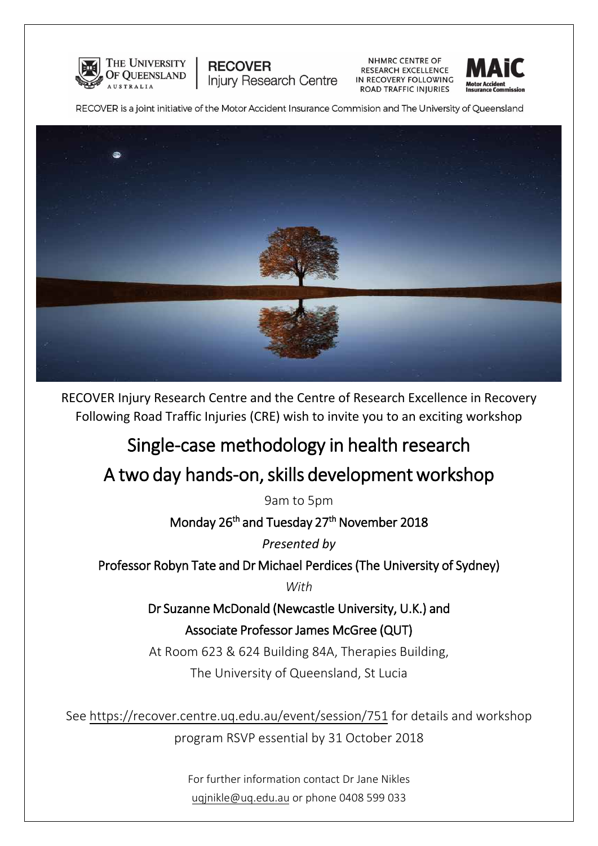

**NHMRC CENTRE OF** RESEARCH EXCELLENCE IN RECOVERY FOLLOWING ROAD TRAFFIC INJURIES



RECOVER is a joint initiative of the Motor Accident Insurance Commision and The University of Queensland

**Injury Research Centre** 

**RECOVER** 



RECOVER Injury Research Centre and the Centre of Research Excellence in Recovery Following Road Traffic Injuries (CRE) wish to invite you to an exciting workshop

# Single-case methodology in health research

# A two day hands-on, skills development workshop

9am to 5pm

Monday 26<sup>th</sup> and Tuesday 27<sup>th</sup> November 2018

*Presented by* 

Professor Robyn Tate and Dr Michael Perdices (The University of Sydney)

*With* 

Dr Suzanne McDonald (Newcastle University, U.K.) and Associate Professor James McGree (QUT)

At Room 623 & 624 Building 84A, Therapies Building, The University of Queensland, St Lucia

See https://recover.centre.uq.edu.au/event/session/751 for details and workshop program RSVP essential by 31 October 2018

> For further information contact Dr Jane Nikles uqjnikle@uq.edu.au or phone [0408 599 033](mailto:uqjnikle@uq.edu.au)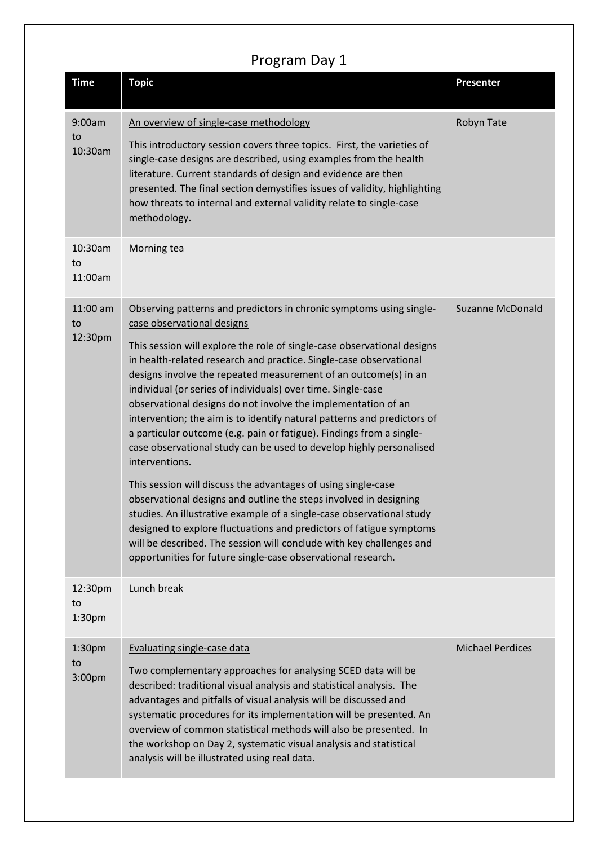### Program Day 1

| <b>Time</b>                         | <b>Topic</b>                                                                                                                                                                                                                                                                                                                                                                                                                                                                                                                                                                                                                                                                                                                                                                                                                                                                                                                                                                                                                                                                                                                     | <b>Presenter</b>        |
|-------------------------------------|----------------------------------------------------------------------------------------------------------------------------------------------------------------------------------------------------------------------------------------------------------------------------------------------------------------------------------------------------------------------------------------------------------------------------------------------------------------------------------------------------------------------------------------------------------------------------------------------------------------------------------------------------------------------------------------------------------------------------------------------------------------------------------------------------------------------------------------------------------------------------------------------------------------------------------------------------------------------------------------------------------------------------------------------------------------------------------------------------------------------------------|-------------------------|
| 9:00am<br>to<br>10:30am             | An overview of single-case methodology<br>This introductory session covers three topics. First, the varieties of<br>single-case designs are described, using examples from the health<br>literature. Current standards of design and evidence are then<br>presented. The final section demystifies issues of validity, highlighting<br>how threats to internal and external validity relate to single-case<br>methodology.                                                                                                                                                                                                                                                                                                                                                                                                                                                                                                                                                                                                                                                                                                       | Robyn Tate              |
| 10:30am<br>to<br>11:00am            | Morning tea                                                                                                                                                                                                                                                                                                                                                                                                                                                                                                                                                                                                                                                                                                                                                                                                                                                                                                                                                                                                                                                                                                                      |                         |
| 11:00 am<br>to<br>12:30pm           | Observing patterns and predictors in chronic symptoms using single-<br>case observational designs<br>This session will explore the role of single-case observational designs<br>in health-related research and practice. Single-case observational<br>designs involve the repeated measurement of an outcome(s) in an<br>individual (or series of individuals) over time. Single-case<br>observational designs do not involve the implementation of an<br>intervention; the aim is to identify natural patterns and predictors of<br>a particular outcome (e.g. pain or fatigue). Findings from a single-<br>case observational study can be used to develop highly personalised<br>interventions.<br>This session will discuss the advantages of using single-case<br>observational designs and outline the steps involved in designing<br>studies. An illustrative example of a single-case observational study<br>designed to explore fluctuations and predictors of fatigue symptoms<br>will be described. The session will conclude with key challenges and<br>opportunities for future single-case observational research. | <b>Suzanne McDonald</b> |
| 12:30pm<br>to<br>1:30 <sub>pm</sub> | Lunch break                                                                                                                                                                                                                                                                                                                                                                                                                                                                                                                                                                                                                                                                                                                                                                                                                                                                                                                                                                                                                                                                                                                      |                         |
| 1:30 <sub>pm</sub><br>to<br>3:00pm  | Evaluating single-case data<br>Two complementary approaches for analysing SCED data will be<br>described: traditional visual analysis and statistical analysis. The<br>advantages and pitfalls of visual analysis will be discussed and<br>systematic procedures for its implementation will be presented. An<br>overview of common statistical methods will also be presented. In<br>the workshop on Day 2, systematic visual analysis and statistical<br>analysis will be illustrated using real data.                                                                                                                                                                                                                                                                                                                                                                                                                                                                                                                                                                                                                         | <b>Michael Perdices</b> |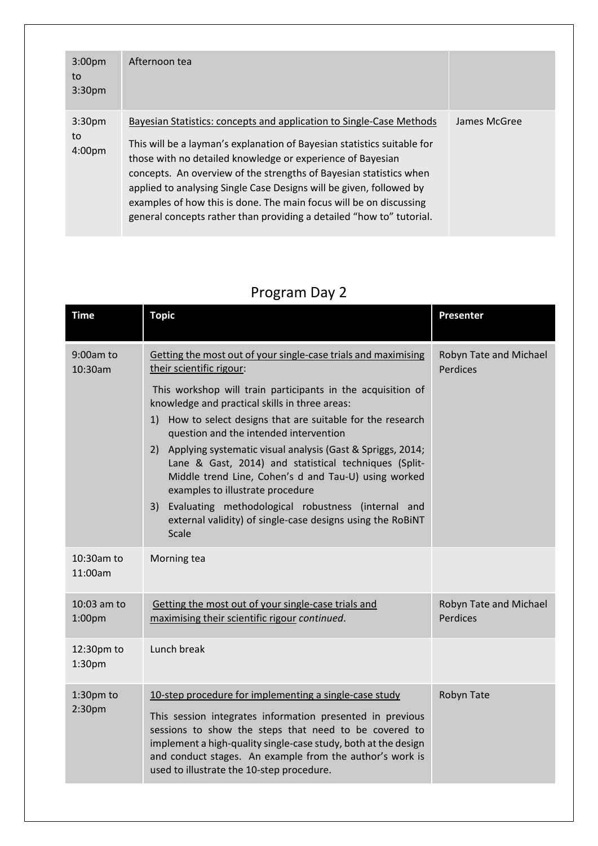| 3:00 <sub>pm</sub><br>to<br>3:30 <sub>pm</sub> | Afternoon tea                                                                                                                                                                                                                                                                                                                                                                                                                                                                                            |              |
|------------------------------------------------|----------------------------------------------------------------------------------------------------------------------------------------------------------------------------------------------------------------------------------------------------------------------------------------------------------------------------------------------------------------------------------------------------------------------------------------------------------------------------------------------------------|--------------|
| 3:30 <sub>pm</sub><br>to<br>4:00 <sub>pm</sub> | Bayesian Statistics: concepts and application to Single-Case Methods<br>This will be a layman's explanation of Bayesian statistics suitable for<br>those with no detailed knowledge or experience of Bayesian<br>concepts. An overview of the strengths of Bayesian statistics when<br>applied to analysing Single Case Designs will be given, followed by<br>examples of how this is done. The main focus will be on discussing<br>general concepts rather than providing a detailed "how to" tutorial. | James McGree |

## Program Day 2

| <b>Time</b>                      | <b>Topic</b>                                                                                                                                                                                                                                                                                                                                                                                             | Presenter                          |
|----------------------------------|----------------------------------------------------------------------------------------------------------------------------------------------------------------------------------------------------------------------------------------------------------------------------------------------------------------------------------------------------------------------------------------------------------|------------------------------------|
| 9:00am to<br>10:30am             | Getting the most out of your single-case trials and maximising<br>their scientific rigour:                                                                                                                                                                                                                                                                                                               | Robyn Tate and Michael<br>Perdices |
|                                  | This workshop will train participants in the acquisition of<br>knowledge and practical skills in three areas:<br>1) How to select designs that are suitable for the research<br>question and the intended intervention<br>2) Applying systematic visual analysis (Gast & Spriggs, 2014;<br>Lane & Gast, 2014) and statistical techniques (Split-<br>Middle trend Line, Cohen's d and Tau-U) using worked |                                    |
|                                  | examples to illustrate procedure<br>3) Evaluating methodological robustness (internal and<br>external validity) of single-case designs using the RoBiNT<br>Scale                                                                                                                                                                                                                                         |                                    |
| 10:30am to<br>11:00am            | Morning tea                                                                                                                                                                                                                                                                                                                                                                                              |                                    |
| 10:03 am to<br>1:00pm            | Getting the most out of your single-case trials and<br>maximising their scientific rigour continued.                                                                                                                                                                                                                                                                                                     | Robyn Tate and Michael<br>Perdices |
| 12:30pm to<br>1:30 <sub>pm</sub> | Lunch break                                                                                                                                                                                                                                                                                                                                                                                              |                                    |
| 1:30pm to<br>2:30 <sub>pm</sub>  | 10-step procedure for implementing a single-case study<br>This session integrates information presented in previous<br>sessions to show the steps that need to be covered to<br>implement a high-quality single-case study, both at the design<br>and conduct stages. An example from the author's work is<br>used to illustrate the 10-step procedure.                                                  | Robyn Tate                         |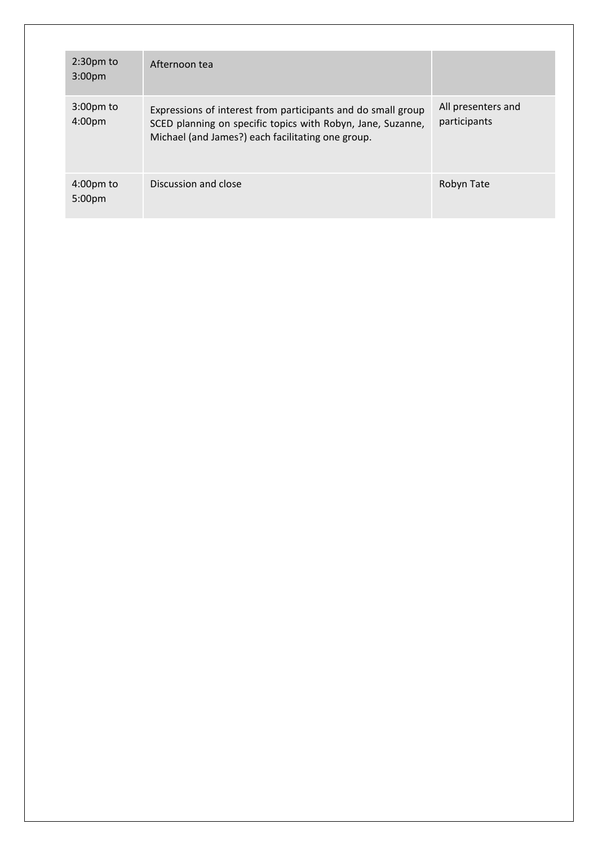| $2:30pm$ to<br>3:00 <sub>pm</sub>         | Afternoon tea                                                                                                                                                                    |                                    |
|-------------------------------------------|----------------------------------------------------------------------------------------------------------------------------------------------------------------------------------|------------------------------------|
| $3:00 \text{pm}$ to<br>4:00 <sub>pm</sub> | Expressions of interest from participants and do small group<br>SCED planning on specific topics with Robyn, Jane, Suzanne,<br>Michael (and James?) each facilitating one group. | All presenters and<br>participants |
| $4:00 \text{pm}$ to<br>5:00 <sub>pm</sub> | Discussion and close                                                                                                                                                             | Robyn Tate                         |